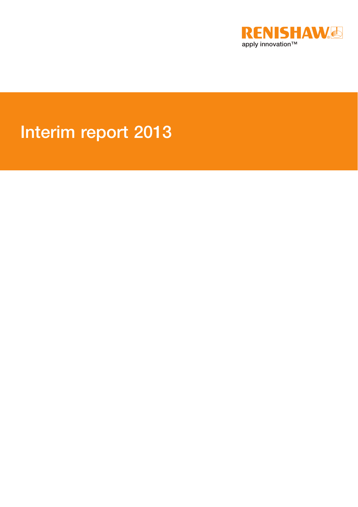

# Interim report 2013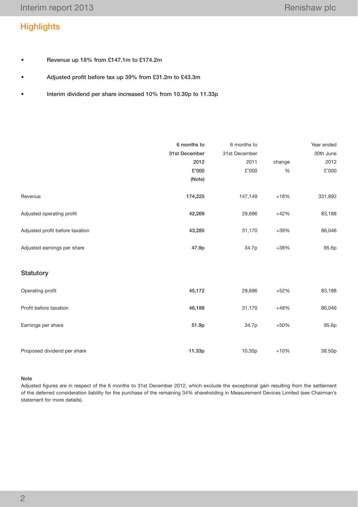# **Highlights**

- • Revenue up 18% from £147.1m to £174.2m
- • Adjusted profit before tax up 39% from £31.2m to £43.3m
- • Interim dividend per share increased 10% from 10.30p to 11.33p

|                                 | 6 months to   | 6 months to   |        | Year ended |
|---------------------------------|---------------|---------------|--------|------------|
|                                 | 31st December | 31st December |        | 30th June  |
|                                 | 2012          | 2011          | change | 2012       |
|                                 | £'000         | £'000         | $\%$   | £'000      |
|                                 | (Note)        |               |        |            |
|                                 |               |               |        |            |
| Revenue                         | 174,225       | 147,149       | $+18%$ | 331,892    |
|                                 |               |               |        |            |
| Adjusted operating profit       | 42,269        | 29,696        | $+42%$ | 83,188     |
|                                 |               |               |        |            |
| Adjusted profit before taxation | 43,285        | 31,170        | $+39%$ | 86,046     |
|                                 |               |               |        |            |
| Adjusted earnings per share     | 47.9p         | 34.7p         | $+38%$ | 95.6p      |
|                                 |               |               |        |            |
|                                 |               |               |        |            |
| Statutory                       |               |               |        |            |
| Operating profit                | 45,172        | 29,696        | $+52%$ | 83,188     |
|                                 |               |               |        |            |
| Profit before taxation          | 46,188        | 31,170        | $+48%$ | 86,046     |
|                                 |               |               |        |            |
| Earnings per share              | 51.9p         | 34.7p         | $+50%$ | 95.6p      |
|                                 |               |               |        |            |
|                                 |               |               |        |            |
| Proposed dividend per share     | 11.33p        | 10.30p        | $+10%$ | 38.50p     |

#### Note

Adjusted figures are in respect of the 6 months to 31st December 2012, which exclude the exceptional gain resulting from the settlement of the deferred consideration liability for the purchase of the remaining 34% shareholding in Measurement Devices Limited (see Chairman's statement for more details).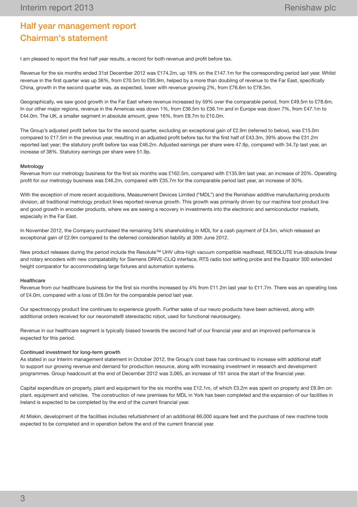# Half year management report Chairman's statement

I am pleased to report the first half year results, a record for both revenue and profit before tax.

Revenue for the six months ended 31st December 2012 was £174.2m, up 18% on the £147.1m for the corresponding period last year. Whilst revenue in the first quarter was up 36%, from £70.5m to £95.9m, helped by a more than doubling of revenue to the Far East, specifically China, growth in the second quarter was, as expected, lower with revenue growing 2%, from £76.6m to £78.3m.

Geographically, we saw good growth in the Far East where revenue increased by 59% over the comparable period, from £49.5m to £78.6m. In our other major regions, revenue in the Americas was down 1%, from £36.5m to £36.1m and in Europe was down 7%, from £47.1m to £44.0m. The UK, a smaller segment in absolute amount, grew 16%, from £8.7m to £10.0m.

The Group's adjusted profit before tax for the second quarter, excluding an exceptional gain of £2.9m (referred to below), was £15.0m compared to £17.5m in the previous year, resulting in an adjusted profit before tax for the first half of £43.3m, 39% above the £31.2m reported last year; the statutory profit before tax was £46.2m. Adjusted earnings per share were 47.9p, compared with 34.7p last year, an increase of 38%. Statutory earnings per share were 51.9p.

#### **Metrology**

Revenue from our metrology business for the first six months was £162.5m, compared with £135.9m last year, an increase of 20%. Operating profit for our metrology business was £46.2m, compared with £35.7m for the comparable period last year, an increase of 30%.

With the exception of more recent acquisitions, Measurement Devices Limited ("MDL") and the Renishaw additive manufacturing products division, all traditional metrology product lines reported revenue growth. This growth was primarily driven by our machine tool product line and good growth in encoder products, where we are seeing a recovery in investments into the electronic and semiconductor markets, especially in the Far East.

In November 2012, the Company purchased the remaining 34% shareholding in MDL for a cash payment of £4.5m, which released an exceptional gain of £2.9m compared to the deferred consideration liability at 30th June 2012.

New product releases during the period include the Resolute™ UHV ultra-high vacuum compatible readhead, RESOLUTE true-absolute linear and rotary encoders with new compatability for Siemens DRIVE-CLiQ interface, RTS radio tool setting probe and the Equator 300 extended height comparator for accommodating large fixtures and automation systems.

#### **Healthcare**

Revenue from our healthcare business for the first six months increased by 4% from £11.2m last year to £11.7m. There was an operating loss of £4.0m, compared with a loss of £6.0m for the comparable period last year.

Our spectroscopy product line continues to experience growth. Further sales of our neuro products have been achieved, along with additional orders received for our neuromate® stereotactic robot, used for functional neurosurgery.

Revenue in our healthcare segment is typically biased towards the second half of our financial year and an improved performance is expected for this period.

#### Continued investment for long-term growth

As stated in our Interim management statement in October 2012, the Group's cost base has continued to increase with additional staff to support our growing revenue and demand for production resource, along with increasing investment in research and development programmes. Group headcount at the end of December 2012 was 3,065, an increase of 161 since the start of the financial year.

Capital expenditure on property, plant and equipment for the six months was £12.1m, of which £3.2m was spent on property and £8.9m on plant, equipment and vehicles. The construction of new premises for MDL in York has been completed and the expansion of our facilities in Ireland is expected to be completed by the end of the current financial year.

At Miskin, development of the facilities includes refurbishment of an additional 66,000 square feet and the purchase of new machine tools expected to be completed and in operation before the end of the current financial year.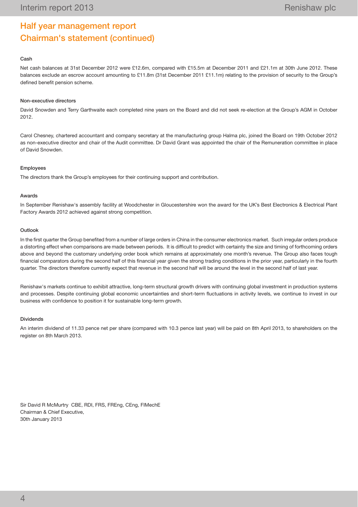# Half year management report Chairman's statement (continued)

#### Cash

Net cash balances at 31st December 2012 were £12.6m, compared with £15.5m at December 2011 and £21.1m at 30th June 2012. These balances exclude an escrow account amounting to £11.8m (31st December 2011 £11.1m) relating to the provision of security to the Group's defined benefit pension scheme.

#### Non-executive directors

David Snowden and Terry Garthwaite each completed nine years on the Board and did not seek re-election at the Group's AGM in October 2012.

Carol Chesney, chartered accountant and company secretary at the manufacturing group Halma plc, joined the Board on 19th October 2012 as non-executive director and chair of the Audit committee. Dr David Grant was appointed the chair of the Remuneration committee in place of David Snowden.

#### Employees

The directors thank the Group's employees for their continuing support and contribution.

#### Awards

In September Renishaw's assembly facility at Woodchester in Gloucestershire won the award for the UK's Best Electronics & Electrical Plant Factory Awards 2012 achieved against strong competition.

#### Outlook

In the first quarter the Group benefited from a number of large orders in China in the consumer electronics market. Such irregular orders produce a distorting effect when comparisons are made between periods. It is difficult to predict with certainty the size and timing of forthcoming orders above and beyond the customary underlying order book which remains at approximately one month's revenue. The Group also faces tough financial comparators during the second half of this financial year given the strong trading conditions in the prior year, particularly in the fourth quarter. The directors therefore currently expect that revenue in the second half will be around the level in the second half of last year.

Renishaw's markets continue to exhibit attractive, long-term structural growth drivers with continuing global investment in production systems and processes. Despite continuing global economic uncertainties and short-term fluctuations in activity levels, we continue to invest in our business with confidence to position it for sustainable long-term growth.

#### **Dividends**

An interim dividend of 11.33 pence net per share (compared with 10.3 pence last year) will be paid on 8th April 2013, to shareholders on the register on 8th March 2013.

Sir David R McMurtry CBE, RDI, FRS, FREng, CEng, FIMechE Chairman & Chief Executive, 30th January 2013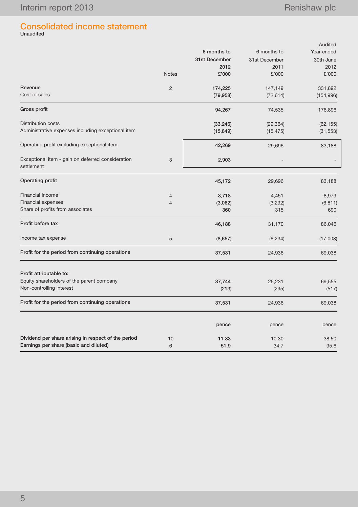# Consolidated income statement Unaudited

|                                                                 |                |               |               | Audited    |
|-----------------------------------------------------------------|----------------|---------------|---------------|------------|
|                                                                 |                | 6 months to   | 6 months to   | Year ended |
|                                                                 |                | 31st December | 31st December | 30th June  |
|                                                                 |                | 2012          | 2011          | 2012       |
|                                                                 | <b>Notes</b>   | £'000         | £'000         | £'000      |
| Revenue                                                         | $\overline{2}$ | 174,225       | 147,149       | 331,892    |
| Cost of sales                                                   |                | (79, 958)     | (72, 614)     | (154, 996) |
| Gross profit                                                    |                | 94,267        | 74,535        | 176,896    |
| <b>Distribution costs</b>                                       |                | (33, 246)     | (29, 364)     | (62, 155)  |
| Administrative expenses including exceptional item              |                | (15, 849)     | (15, 475)     | (31, 553)  |
| Operating profit excluding exceptional item                     |                | 42,269        | 29,696        | 83,188     |
| Exceptional item - gain on deferred consideration<br>settlement | 3              | 2,903         |               |            |
| Operating profit                                                |                | 45,172        | 29,696        | 83,188     |
| Financial income                                                | $\overline{4}$ | 3,718         | 4,451         | 8,979      |
| <b>Financial expenses</b>                                       | $\overline{4}$ | (3,062)       | (3,292)       | (6, 811)   |
| Share of profits from associates                                |                | 360           | 315           | 690        |
| Profit before tax                                               |                | 46,188        | 31,170        | 86,046     |
| Income tax expense                                              | 5              | (8,657)       | (6, 234)      | (17,008)   |
| Profit for the period from continuing operations                |                | 37,531        | 24,936        | 69,038     |
| Profit attributable to:                                         |                |               |               |            |
| Equity shareholders of the parent company                       |                | 37,744        | 25,231        | 69,555     |
| Non-controlling interest                                        |                | (213)         | (295)         | (517)      |
| Profit for the period from continuing operations                |                | 37,531        | 24,936        | 69,038     |
|                                                                 |                | pence         | pence         | pence      |
| Dividend per share arising in respect of the period             | 10             | 11.33         | 10.30         | 38.50      |
| Earnings per share (basic and diluted)                          | 6              | 51.9          | 34.7          | 95.6       |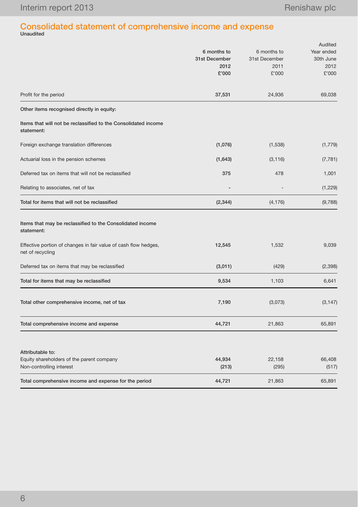# Consolidated statement of comprehensive income and expense Unaudited

|                                                                                     |               |               | Audited    |  |  |
|-------------------------------------------------------------------------------------|---------------|---------------|------------|--|--|
|                                                                                     | 6 months to   | 6 months to   | Year ended |  |  |
|                                                                                     | 31st December | 31st December | 30th June  |  |  |
|                                                                                     | 2012          | 2011          | 2012       |  |  |
|                                                                                     | £'000         | £'000         | £'000      |  |  |
| Profit for the period                                                               | 37,531        | 24,936        | 69,038     |  |  |
| Other items recognised directly in equity:                                          |               |               |            |  |  |
| Items that will not be reclassified to the Consolidated income<br>statement:        |               |               |            |  |  |
| Foreign exchange translation differences                                            | (1,076)       | (1,538)       | (1,779)    |  |  |
| Actuarial loss in the pension schemes                                               | (1,643)       | (3, 116)      | (7, 781)   |  |  |
| Deferred tax on items that will not be reclassified                                 | 375           | 478           | 1,001      |  |  |
| Relating to associates, net of tax                                                  |               |               | (1,229)    |  |  |
| Total for items that will not be reclassified                                       | (2, 344)      | (4, 176)      | (9,788)    |  |  |
| Items that may be reclassified to the Consolidated income<br>statement:             |               |               |            |  |  |
| Effective portion of changes in fair value of cash flow hedges,<br>net of recycling | 12,545        | 1,532         | 9,039      |  |  |
| Deferred tax on items that may be reclassified                                      | (3,011)       | (429)         | (2,398)    |  |  |
| Total for items that may be reclassified                                            | 9,534         | 1,103         | 6,641      |  |  |
| Total other comprehensive income, net of tax                                        | 7,190         | (3,073)       | (3, 147)   |  |  |
| Total comprehensive income and expense                                              | 44,721        | 21,863        | 65,891     |  |  |
|                                                                                     |               |               |            |  |  |
| Attributable to:                                                                    |               |               |            |  |  |
| Equity shareholders of the parent company                                           | 44,934        | 22,158        | 66,408     |  |  |
| Non-controlling interest                                                            | (213)         | (295)         | (517)      |  |  |
| Total comprehensive income and expense for the period                               | 44,721        | 21,863        | 65,891     |  |  |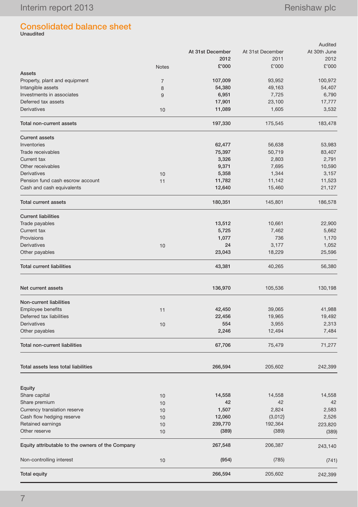# Consolidated balance sheet Unaudited

|                                                  |                |                  |                  | Audited      |
|--------------------------------------------------|----------------|------------------|------------------|--------------|
|                                                  |                | At 31st December | At 31st December | At 30th June |
|                                                  |                | 2012             | 2011             | 2012         |
|                                                  | <b>Notes</b>   | £'000            | £'000            | £'000        |
| <b>Assets</b>                                    |                |                  |                  |              |
| Property, plant and equipment                    | $\overline{7}$ | 107,009          | 93,952           | 100,972      |
| Intangible assets                                | 8              | 54,380           | 49,163           | 54,407       |
| Investments in associates                        | 9              | 6,951            | 7,725            | 6,790        |
| Deferred tax assets                              |                | 17,901           | 23,100           | 17,777       |
| <b>Derivatives</b>                               | 10             | 11,089           | 1,605            | 3,532        |
| Total non-current assets                         |                | 197,330          | 175,545          | 183,478      |
| <b>Current assets</b>                            |                |                  |                  |              |
| Inventories                                      |                | 62,477           | 56,638           | 53,983       |
| Trade receivables                                |                | 75,397           | 50,719           | 83,407       |
| Current tax                                      |                | 3,326            | 2,803            | 2,791        |
| Other receivables                                |                | 9,371            | 7,695            | 10,590       |
| <b>Derivatives</b>                               | 10             | 5,358            | 1,344            | 3,157        |
| Pension fund cash escrow account                 | 11             | 11,782           | 11,142           | 11,523       |
| Cash and cash equivalents                        |                | 12,640           | 15,460           | 21,127       |
| <b>Total current assets</b>                      |                | 180,351          | 145,801          | 186,578      |
| <b>Current liabilities</b>                       |                |                  |                  |              |
| Trade payables                                   |                | 13,512           | 10,661           | 22,900       |
| Current tax                                      |                | 5,725            | 7,462            | 5,662        |
| Provisions                                       |                | 1,077            | 736              | 1,170        |
| Derivatives                                      | 10             | 24               | 3,177            | 1,052        |
| Other payables                                   |                | 23,043           | 18,229           | 25,596       |
| <b>Total current liabilities</b>                 |                | 43,381           | 40,265           | 56,380       |
| Net current assets                               |                | 136,970          | 105,536          | 130,198      |
| Non-current liabilities                          |                |                  |                  |              |
| <b>Employee benefits</b>                         |                |                  | 39,065           | 41,988       |
| Deferred tax liabilities                         | 11             | 42,450           |                  |              |
|                                                  |                | 22,456           | 19,965           | 19,492       |
| <b>Derivatives</b>                               | 10             | 554              | 3,955            | 2,313        |
| Other payables                                   |                | 2,246            | 12,494           | 7,484        |
| <b>Total non-current liabilities</b>             |                | 67,706           | 75,479           | 71,277       |
| Total assets less total liabilities              |                | 266,594          | 205,602          | 242,399      |
| Equity                                           |                |                  |                  |              |
| Share capital                                    | 10             | 14,558           | 14,558           | 14,558       |
| Share premium                                    | 10             | 42               | 42               | 42           |
| Currency translation reserve                     | 10             | 1,507            | 2,824            | 2,583        |
| Cash flow hedging reserve                        | 10             | 12,060           | (3,012)          | 2,526        |
| Retained earnings                                |                | 239,770          | 192,364          | 223,820      |
| Other reserve                                    | 10             |                  |                  |              |
|                                                  | 10             | (389)            | (389)            | (389)        |
| Equity attributable to the owners of the Company |                | 267,548          | 206,387          | 243,140      |
| Non-controlling interest                         | 10             | (954)            | (785)            | (741)        |
| <b>Total equity</b>                              |                | 266,594          | 205,602          | 242,399      |
|                                                  |                |                  |                  |              |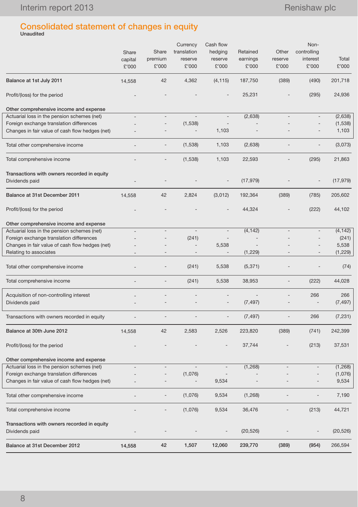# Consolidated statement of changes in equity Unaudited

|                                                                           | Share<br>capital<br>£'000 | Share<br>premium<br>£'000 | Currency<br>translation<br>reserve<br>£'000 | Cash flow<br>hedging<br>reserve<br>£'000 | Retained<br>earnings<br>£'000 | Other<br>reserve<br>£'000 | Non-<br>controlling<br>interest<br>£'000 | Total<br>£'000   |
|---------------------------------------------------------------------------|---------------------------|---------------------------|---------------------------------------------|------------------------------------------|-------------------------------|---------------------------|------------------------------------------|------------------|
| Balance at 1st July 2011                                                  | 14,558                    | 42                        | 4,362                                       | (4, 115)                                 | 187,750                       | (389)                     | (490)                                    | 201,718          |
| Profit/(loss) for the period                                              |                           |                           |                                             |                                          | 25,231                        |                           | (295)                                    | 24,936           |
| Other comprehensive income and expense                                    |                           |                           |                                             |                                          |                               |                           |                                          |                  |
| Actuarial loss in the pension schemes (net)                               |                           |                           |                                             | $\overline{\phantom{a}}$                 | (2,638)                       |                           |                                          | (2,638)          |
| Foreign exchange translation differences                                  |                           |                           | (1,538)                                     | 1,103                                    |                               |                           |                                          | (1,538)<br>1,103 |
| Changes in fair value of cash flow hedges (net)                           |                           |                           |                                             |                                          |                               |                           |                                          |                  |
| Total other comprehensive income                                          | ٠                         |                           | (1,538)                                     | 1,103                                    | (2,638)                       |                           |                                          | (3,073)          |
| Total comprehensive income                                                |                           |                           | (1,538)                                     | 1,103                                    | 22,593                        |                           | (295)                                    | 21,863           |
| Transactions with owners recorded in equity                               |                           |                           |                                             |                                          |                               |                           |                                          |                  |
| Dividends paid                                                            |                           |                           |                                             |                                          | (17, 979)                     |                           |                                          | (17, 979)        |
| Balance at 31st December 2011                                             | 14,558                    | 42                        | 2,824                                       | (3,012)                                  | 192,364                       | (389)                     | (785)                                    | 205,602          |
| Profit/(loss) for the period                                              |                           |                           |                                             |                                          | 44,324                        |                           | (222)                                    | 44,102           |
| Other comprehensive income and expense                                    |                           |                           |                                             |                                          |                               |                           |                                          |                  |
| Actuarial loss in the pension schemes (net)                               |                           | $\overline{a}$            | $\overline{\phantom{m}}$                    | $\overline{\phantom{a}}$                 | (4, 142)                      |                           |                                          | (4, 142)         |
| Foreign exchange translation differences                                  |                           |                           | (241)                                       |                                          |                               |                           |                                          | (241)            |
| Changes in fair value of cash flow hedges (net)<br>Relating to associates | $\overline{\phantom{a}}$  |                           | $\qquad \qquad -$                           | 5,538<br>$\overline{\phantom{a}}$        | (1,229)                       |                           | $\overline{\phantom{a}}$                 | 5,538<br>(1,229) |
|                                                                           |                           |                           |                                             |                                          |                               |                           |                                          |                  |
| Total other comprehensive income                                          |                           |                           | (241)                                       | 5,538                                    | (5, 371)                      |                           |                                          | (74)             |
| Total comprehensive income                                                |                           |                           | (241)                                       | 5,538                                    | 38,953                        |                           | (222)                                    | 44,028           |
| Acquisition of non-controlling interest                                   |                           |                           |                                             |                                          |                               |                           | 266                                      | 266              |
| Dividends paid                                                            |                           |                           |                                             |                                          | (7, 497)                      |                           | $\overline{\phantom{a}}$                 | (7, 497)         |
| Transactions with owners recorded in equity                               |                           |                           |                                             |                                          | (7, 497)                      |                           | 266                                      | (7, 231)         |
| Balance at 30th June 2012                                                 | 14,558                    | 42                        | 2,583                                       | 2,526                                    | 223,820                       | (389)                     | (741)                                    | 242,399          |
| Profit/(loss) for the period                                              |                           |                           |                                             |                                          | 37,744                        |                           | (213)                                    | 37,531           |
| Other comprehensive income and expense                                    |                           |                           |                                             |                                          |                               |                           |                                          |                  |
| Actuarial loss in the pension schemes (net)                               |                           |                           | $\overline{\phantom{a}}$                    |                                          | (1,268)                       |                           |                                          | (1,268)          |
| Foreign exchange translation differences                                  |                           |                           | (1,076)                                     |                                          |                               |                           |                                          | (1,076)          |
| Changes in fair value of cash flow hedges (net)                           |                           |                           |                                             | 9,534                                    |                               |                           |                                          | 9,534            |
| Total other comprehensive income                                          |                           |                           | (1,076)                                     | 9,534                                    | (1,268)                       |                           |                                          | 7,190            |
| Total comprehensive income                                                |                           |                           | (1,076)                                     | 9,534                                    | 36,476                        |                           | (213)                                    | 44,721           |
| Transactions with owners recorded in equity                               |                           |                           |                                             |                                          |                               |                           |                                          |                  |
| Dividends paid                                                            |                           |                           |                                             |                                          | (20, 526)                     |                           |                                          | (20, 526)        |
| Balance at 31st December 2012                                             | 14,558                    | 42                        | 1,507                                       | 12,060                                   | 239,770                       | (389)                     | (954)                                    | 266,594          |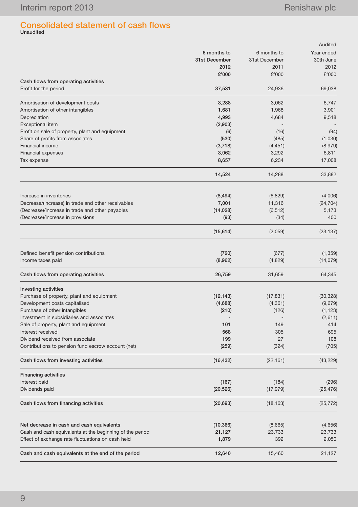# Consolidated statement of cash flows Unaudited

|                                                                                                       |                 |               | Audited         |
|-------------------------------------------------------------------------------------------------------|-----------------|---------------|-----------------|
|                                                                                                       | 6 months to     | 6 months to   | Year ended      |
|                                                                                                       | 31st December   | 31st December | 30th June       |
|                                                                                                       | 2012            | 2011          | 2012            |
|                                                                                                       | £'000           | £'000         | £'000           |
| Cash flows from operating activities                                                                  |                 |               |                 |
| Profit for the period                                                                                 | 37,531          | 24,936        | 69,038          |
| Amortisation of development costs                                                                     | 3,288           | 3,062         | 6,747           |
| Amortisation of other intangibles                                                                     | 1,681           | 1,968         | 3,901           |
| Depreciation                                                                                          | 4,993           | 4,684         | 9,518           |
| <b>Exceptional item</b>                                                                               | (2,903)         |               |                 |
| Profit on sale of property, plant and equipment                                                       | (6)             | (16)          | (94)            |
| Share of profits from associates                                                                      | (530)           | (485)         | (1,030)         |
| Financial income                                                                                      | (3,718)         | (4, 451)      | (8,979)         |
| <b>Financial expenses</b>                                                                             | 3,062           | 3,292         | 6,811           |
| Tax expense                                                                                           | 8,657           | 6,234         | 17,008          |
|                                                                                                       | 14,524          | 14,288        | 33,882          |
|                                                                                                       |                 |               |                 |
| Increase in inventories                                                                               | (8, 494)        | (6, 829)      | (4,006)         |
| Decrease/(increase) in trade and other receivables                                                    | 7,001           | 11,316        | (24, 704)       |
| (Decrease)/increase in trade and other payables                                                       | (14, 028)       | (6, 512)      | 5,173           |
| (Decrease)/increase in provisions                                                                     | (93)            | (34)          | 400             |
|                                                                                                       | (15, 614)       | (2,059)       | (23, 137)       |
|                                                                                                       |                 |               |                 |
| Defined benefit pension contributions                                                                 | (720)           | (677)         | (1, 359)        |
| Income taxes paid                                                                                     | (8,962)         | (4,829)       | (14, 079)       |
| Cash flows from operating activities                                                                  | 26,759          | 31,659        | 64,345          |
| Investing activities                                                                                  |                 |               |                 |
| Purchase of property, plant and equipment                                                             | (12, 143)       | (17, 831)     | (30, 328)       |
| Development costs capitalised                                                                         | (4,688)         | (4, 361)      | (9,679)         |
| Purchase of other intangibles                                                                         | (210)           | (126)         | (1, 123)        |
| Investment in subsidiaries and associates                                                             |                 |               | (2,611)         |
| Sale of property, plant and equipment                                                                 | 101             | 149           | 414             |
| Interest received                                                                                     | 568             | 305           | 695             |
| Dividend received from associate                                                                      | 199             | 27            | 108             |
| Contributions to pension fund escrow account (net)                                                    | (259)           | (324)         | (705)           |
| Cash flows from investing activities                                                                  | (16, 432)       | (22, 161)     | (43, 229)       |
| <b>Financing activities</b>                                                                           |                 |               |                 |
| Interest paid                                                                                         | (167)           | (184)         | (296)           |
| Dividends paid                                                                                        | (20, 526)       | (17, 979)     | (25, 476)       |
| Cash flows from financing activities                                                                  | (20, 693)       | (18, 163)     | (25, 772)       |
|                                                                                                       |                 |               |                 |
| Net decrease in cash and cash equivalents<br>Cash and cash equivalents at the beginning of the period | (10, 366)       | (8,665)       | (4,656)         |
| Effect of exchange rate fluctuations on cash held                                                     | 21,127<br>1,879 | 23,733<br>392 | 23,733<br>2,050 |
|                                                                                                       |                 |               |                 |
| Cash and cash equivalents at the end of the period                                                    | 12,640          | 15,460        | 21,127          |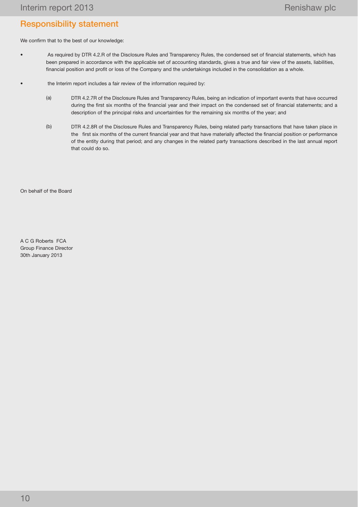# Responsibility statement

We confirm that to the best of our knowledge:

- • As required by DTR 4.2.R of the Disclosure Rules and Transparency Rules, the condensed set of financial statements, which has been prepared in accordance with the applicable set of accounting standards, gives a true and fair view of the assets, liabilities, financial position and profit or loss of the Company and the undertakings included in the consolidation as a whole.
- the Interim report includes a fair review of the information required by:
	- (a) DTR 4.2.7R of the Disclosure Rules and Transparency Rules, being an indication of important events that have occurred during the first six months of the financial year and their impact on the condensed set of financial statements; and a description of the principal risks and uncertainties for the remaining six months of the year; and
	- (b) DTR 4.2.8R of the Disclosure Rules and Transparency Rules, being related party transactions that have taken place in the first six months of the current financial year and that have materially affected the financial position or performance of the entity during that period; and any changes in the related party transactions described in the last annual report that could do so.

On behalf of the Board

A C G Roberts FCA Group Finance Director 30th January 2013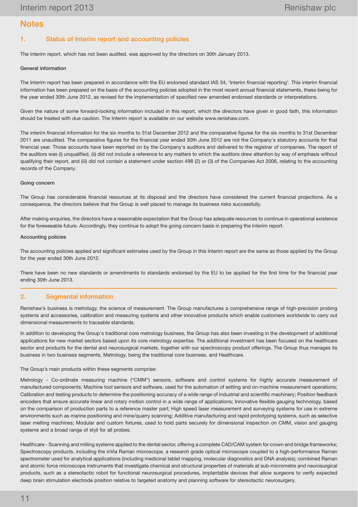# **Notes**

## 1. Status of Interim report and accounting policies

The Interim report, which has not been audited, was approved by the directors on 30th January 2013.

#### General information

The Interim report has been prepared in accordance with the EU endorsed standard IAS 34, 'Interim financial reporting'. This interim financial information has been prepared on the basis of the accounting policies adopted in the most recent annual financial statements, these being for the year ended 30th June 2012, as revised for the implementation of specified new amended endorsed standards or interpretations.

Given the nature of some forward-looking information included in this report, which the directors have given in good faith, this information should be treated with due caution. The Interim report is available on our website www.renishaw.com.

The interim financial information for the six months to 31st December 2012 and the comparative figures for the six months to 31st December 2011 are unaudited. The comparative figures for the financial year ended 30th June 2012 are not the Company's statutory accounts for that financial year. Those accounts have been reported on by the Company's auditors and delivered to the registrar of companies. The report of the auditors was (i) unqualified, (ii) did not include a reference to any matters to which the auditors drew attention by way of emphasis without qualifying their report, and (iii) did not contain a statement under section 498 (2) or (3) of the Companies Act 2006, relating to the accounting records of the Company.

#### Going concern

The Group has considerable financial resources at its disposal and the directors have considered the current financial projections. As a consequence, the directors believe that the Group is well placed to manage its business risks successfully.

After making enquiries, the directors have a reasonable expectation that the Group has adequate resources to continue in operational existence for the foreseeable future. Accordingly, they continue to adopt the going concern basis in preparing the Interim report.

#### Accounting policies

The accounting policies applied and significant estimates used by the Group in this Interim report are the same as those applied by the Group for the year ended 30th June 2012.

There have been no new standards or amendments to standards endorsed by the EU to be applied for the first time for the financial year ending 30th June 2013.

### 2. Segmental information

Renishaw's business is metrology, the science of measurement. The Group manufactures a comprehensive range of high-precision probing systems and accessories, calibration and measuring systems and other innovative products which enable customers worldwide to carry out dimensional measurements to traceable standards.

In addition to developing the Group's traditional core metrology business, the Group has also been investing in the development of additional applications for new market sectors based upon its core metrology expertise. The additional investment has been focused on the healthcare sector and products for the dental and neurosurgical markets, together with our spectroscopy product offerings. The Group thus manages its business in two business segments, Metrology, being the traditional core business, and Healthcare.

#### The Group's main products within these segments comprise:

Metrology - Co-ordinate measuring machine ("CMM") sensors, software and control systems for highly accurate measurement of manufactured components; Machine tool sensors and software, used for the automation of setting and on-machine measurement operations; Calibration and testing products to determine the positioning accuracy of a wide range of industrial and scientific machinery; Position feedback encoders that ensure accurate linear and rotary motion control in a wide range of applications; Innovative flexible gauging technology, based on the comparison of production parts to a reference master part; High speed laser measurement and surveying systems for use in extreme environments such as marine positioning and mine/quarry scanning; Additive manufacturing and rapid prototyping systems, such as selective laser melting machines; Modular and custom fixtures, used to hold parts securely for dimensional inspection on CMM, vision and gauging systems and a broad range of styli for all probes.

Healthcare - Scanning and milling systems applied to the dental sector, offering a complete CAD/CAM system for crown and bridge frameworks; Spectroscopy products, including the inVia Raman microscope, a research grade optical microscope coupled to a high-performance Raman spectrometer used for analytical applications (including medicinal tablet mapping, molecular diagnostics and DNA analysis); combined Raman and atomic force microscope instruments that investigate chemical and structural properties of materials at sub-micrometre and neurosurgical products, such as a stereotactic robot for functional neurosurgical procedures, implantable devices that allow surgeons to verify expected deep brain stimulation electrode position relative to targeted anatomy and planning software for stereotactic neurosurgery.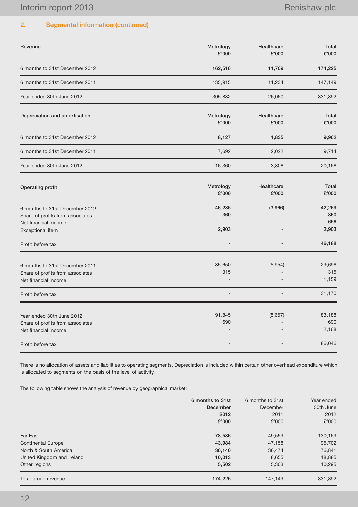# 2. Segmental information (continued)

| Revenue                                                                                                        | Metrology<br>£'000     | Healthcare<br>£'000 | Total<br>£'000                |
|----------------------------------------------------------------------------------------------------------------|------------------------|---------------------|-------------------------------|
| 6 months to 31st December 2012                                                                                 | 162,516                | 11,709              | 174,225                       |
| 6 months to 31st December 2011                                                                                 | 135,915                | 11,234              | 147,149                       |
| Year ended 30th June 2012                                                                                      | 305,832                | 26,060              | 331,892                       |
| Depreciation and amortisation                                                                                  | Metrology<br>£'000     | Healthcare<br>£'000 | Total<br>£'000                |
| 6 months to 31st December 2012                                                                                 | 8,127                  | 1,835               | 9,962                         |
| 6 months to 31st December 2011                                                                                 | 7,692                  | 2,022               | 9,714                         |
| Year ended 30th June 2012                                                                                      | 16,360                 | 3,806               | 20,166                        |
| Operating profit                                                                                               | Metrology<br>£'000     | Healthcare<br>£'000 | Total<br>£'000                |
| 6 months to 31st December 2012<br>Share of profits from associates<br>Net financial income<br>Exceptional item | 46,235<br>360<br>2,903 | (3,966)             | 42,269<br>360<br>656<br>2,903 |
| Profit before tax                                                                                              |                        |                     | 46,188                        |
| 6 months to 31st December 2011<br>Share of profits from associates<br>Net financial income                     | 35,650<br>315          | (5,954)             | 29,696<br>315<br>1,159        |
| Profit before tax                                                                                              |                        |                     | 31,170                        |
| Year ended 30th June 2012<br>Share of profits from associates<br>Net financial income                          | 91,845<br>690          | (8,657)             | 83,188<br>690<br>2,168        |
| Profit before tax                                                                                              |                        |                     | 86,046                        |

There is no allocation of assets and liabilities to operating segments. Depreciation is included within certain other overhead expenditure which is allocated to segments on the basis of the level of activity.

The following table shows the analysis of revenue by geographical market:

|                            | 6 months to 31st | 6 months to 31st | Year ended |
|----------------------------|------------------|------------------|------------|
|                            | December         | December         | 30th June  |
|                            | 2012             | 2011             | 2012       |
|                            | £'000            | £'000            | £'000      |
| Far East                   | 78,586           | 49,559           | 130,169    |
| <b>Continental Europe</b>  | 43,984           | 47,158           | 95,702     |
| North & South America      | 36,140           | 36,474           | 76,841     |
| United Kingdom and Ireland | 10,013           | 8,655            | 18,885     |
| Other regions              | 5,502            | 5.303            | 10,295     |
| Total group revenue        | 174,225          | 147.149          | 331,892    |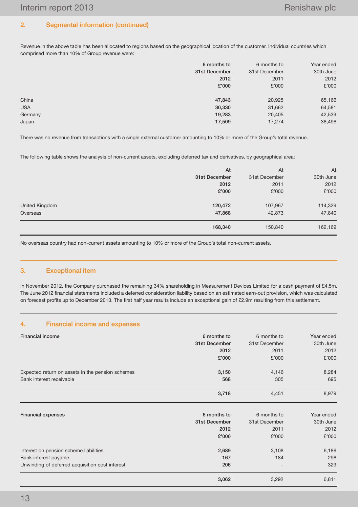# 2. Segmental information (continued)

Revenue in the above table has been allocated to regions based on the geographical location of the customer. Individual countries which comprised more than 10% of Group revenue were:

|            | 6 months to   | 6 months to   | Year ended |
|------------|---------------|---------------|------------|
|            | 31st December | 31st December | 30th June  |
|            | 2012          | 2011          | 2012       |
|            | £'000         | £'000         | £'000      |
| China      | 47,843        | 20,925        | 65,166     |
| <b>USA</b> | 30,330        | 31,662        | 64,581     |
| Germany    | 19,283        | 20,405        | 42,539     |
| Japan      | 17,509        | 17,274        | 38,496     |

There was no revenue from transactions with a single external customer amounting to 10% or more of the Group's total revenue.

The following table shows the analysis of non-current assets, excluding deferred tax and derivatives, by geographical area:

|                | At            | At            | At        |
|----------------|---------------|---------------|-----------|
|                | 31st December | 31st December | 30th June |
|                | 2012          | 2011          | 2012      |
|                | £'000         | £'000         | £'000     |
|                |               |               |           |
| United Kingdom | 120,472       | 107,967       | 114,329   |
| Overseas       | 47,868        | 42,873        | 47,840    |
|                | 168,340       | 150,840       | 162,169   |

No overseas country had non-current assets amounting to 10% or more of the Group's total non-current assets.

## 3. Exceptional item

In November 2012, the Company purchased the remaining 34% shareholding in Measurement Devices Limited for a cash payment of £4.5m. The June 2012 financial statements included a deferred consideration liability based on an estimated earn-out provision, which was calculated on forecast profits up to December 2013. The first half year results include an exceptional gain of £2.9m resulting from this settlement.

## 4. Financial income and expenses

| <b>Financial income</b>                                                                                            | 6 months to         | 6 months to   | Year ended          |
|--------------------------------------------------------------------------------------------------------------------|---------------------|---------------|---------------------|
|                                                                                                                    | 31st December       | 31st December | 30th June           |
|                                                                                                                    | 2012                | 2011          | 2012                |
|                                                                                                                    | £'000               | £'000         | £'000               |
| Expected return on assets in the pension schemes                                                                   | 3,150               | 4,146         | 8,284               |
| Bank interest receivable                                                                                           | 568                 | 305           | 695                 |
|                                                                                                                    | 3,718               | 4,451         | 8,979               |
| <b>Financial expenses</b>                                                                                          | 6 months to         | 6 months to   | Year ended          |
|                                                                                                                    | 31st December       | 31st December | 30th June           |
|                                                                                                                    | 2012                | 2011          | 2012                |
|                                                                                                                    | £'000               | £'000         | £'000               |
| Interest on pension scheme liabilities<br>Bank interest payable<br>Unwinding of deferred acquisition cost interest | 2,689<br>167<br>206 | 3,108<br>184  | 6,186<br>296<br>329 |
|                                                                                                                    | 3,062               | 3,292         | 6,811               |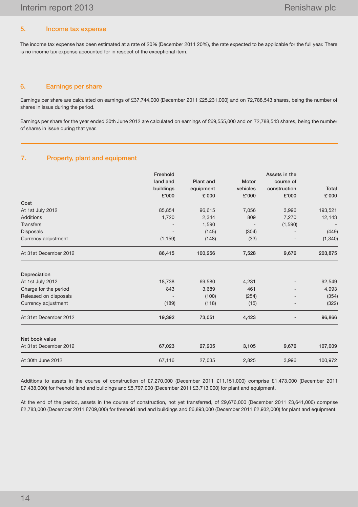### 5. Income tax expense

The income tax expense has been estimated at a rate of 20% (December 2011 20%), the rate expected to be applicable for the full year. There is no income tax expense accounted for in respect of the exceptional item.

#### 6. Earnings per share

Earnings per share are calculated on earnings of £37,744,000 (December 2011 £25,231,000) and on 72,788,543 shares, being the number of shares in issue during the period.

Earnings per share for the year ended 30th June 2012 are calculated on earnings of £69,555,000 and on 72,788,543 shares, being the number of shares in issue during that year.

### 7. Property, plant and equipment

|                       | Freehold  |                  |          | Assets in the     |              |
|-----------------------|-----------|------------------|----------|-------------------|--------------|
|                       | land and  | <b>Plant</b> and | Motor    | course of         |              |
|                       | buildings | equipment        | vehicles | construction      | <b>Total</b> |
|                       | £'000     | £'000            | £'000    | £'000             | £'000        |
| Cost                  |           |                  |          |                   |              |
| At 1st July 2012      | 85,854    | 96,615           | 7,056    | 3,996             | 193,521      |
| <b>Additions</b>      | 1,720     | 2,344            | 809      | 7,270             | 12,143       |
| <b>Transfers</b>      |           | 1,590            |          | (1,590)           |              |
| <b>Disposals</b>      |           | (145)            | (304)    |                   | (449)        |
| Currency adjustment   | (1, 159)  | (148)            | (33)     |                   | (1,340)      |
| At 31st December 2012 | 86,415    | 100,256          | 7,528    | 9,676             | 203,875      |
| Depreciation          |           |                  |          |                   |              |
| At 1st July 2012      | 18,738    | 69,580           | 4,231    |                   | 92,549       |
| Charge for the period | 843       | 3,689            | 461      |                   | 4,993        |
| Released on disposals |           | (100)            | (254)    |                   | (354)        |
| Currency adjustment   | (189)     | (118)            | (15)     | $\qquad \qquad -$ | (322)        |
| At 31st December 2012 | 19,392    | 73,051           | 4,423    |                   | 96,866       |
| Net book value        |           |                  |          |                   |              |
| At 31st December 2012 | 67,023    | 27,205           | 3,105    | 9,676             | 107,009      |
| At 30th June 2012     | 67,116    | 27,035           | 2,825    | 3,996             | 100,972      |

Additions to assets in the course of construction of £7,270,000 (December 2011 £11,151,000) comprise £1,473,000 (December 2011 £7,438,000) for freehold land and buildings and £5,797,000 (December 2011 £3,713,000) for plant and equipment.

At the end of the period, assets in the course of construction, not yet transferred, of £9,676,000 (December 2011 £3,641,000) comprise £2,783,000 (December 2011 £709,000) for freehold land and buildings and £6,893,000 (December 2011 £2,932,000) for plant and equipment.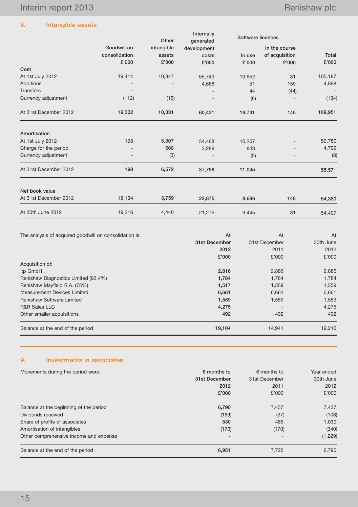# 8. Intangible assets

|                       |               | Other      | Internally<br>generated | Software licences |                |         |
|-----------------------|---------------|------------|-------------------------|-------------------|----------------|---------|
|                       | Goodwill on   | intangible | development             |                   | In the course  |         |
|                       | consolidation | assets     | costs                   | In use            | of acquisition | Total   |
|                       | £'000         | £'000      | £'000                   | £'000             | £'000          | £'000   |
| Cost                  |               |            |                         |                   |                |         |
| At 1st July 2012      | 19,414        | 10,347     | 55,743                  | 19,652            | 31             | 105,187 |
| <b>Additions</b>      |               |            | 4,688                   | 51                | 159            | 4,898   |
| <b>Transfers</b>      |               |            |                         | 44                | (44)           |         |
| Currency adjustment   | (112)         | (16)       |                         | (6)               |                | (134)   |
| At 31st December 2012 | 19,302        | 10,331     | 60,431                  | 19,741            | 146            | 109,951 |
| Amortisation          |               |            |                         |                   |                |         |
| At 1st July 2012      | 198           | 5,907      | 34,468                  | 10,207            |                | 50,780  |
| Charge for the period |               | 668        | 3,288                   | 843               |                | 4,799   |
| Currency adjustment   |               | (3)        |                         | (5)               |                | (8)     |
| At 31st December 2012 | 198           | 6,572      | 37,756                  | 11,045            |                | 55,571  |
| Net book value        |               |            |                         |                   |                |         |
| At 31st December 2012 | 19,104        | 3,759      | 22,675                  | 8,696             | 146            | 54,380  |
| At 30th June 2012     | 19,216        | 4,440      | 21,275                  | 9,445             | 31             | 54,407  |

| The analysis of acquired goodwill on consolidation is: | At            | At            | At<br>30th June<br>2012<br>£'000 |
|--------------------------------------------------------|---------------|---------------|----------------------------------|
|                                                        | 31st December | 31st December |                                  |
|                                                        | 2012          | 2011          |                                  |
|                                                        | £'000         | £'000         |                                  |
| Acquisition of:                                        |               |               |                                  |
| itp GmbH                                               | 2,816         | 2,886         | 2,886                            |
| Renishaw Diagnostics Limited (92.4%)                   | 1,784         | 1,784         | 1,784                            |
| Renishaw Mayfield S.A. (75%)                           | 1,517         | 1,559         | 1,559                            |
| Measurement Devices Limited                            | 6,661         | 6,661         | 6,661                            |
| <b>Renishaw Software Limited</b>                       | 1,559         | 1,559         | 1,559                            |
| <b>R&amp;R Sales LLC</b>                               | 4,275         |               | 4,275                            |
| Other smaller acquisitions                             | 492           | 492           | 492                              |
| Balance at the end of the period                       | 19,104        | 14.941        | 19,216                           |

# 9. Investments in associates

| Movements during the period were:      | 6 months to   | 6 months to   | Year ended |
|----------------------------------------|---------------|---------------|------------|
|                                        | 31st December | 31st December | 30th June  |
|                                        | 2012          | 2011          | 2012       |
|                                        | £'000         | £'000         | £'000      |
| Balance at the beginning of the period | 6,790         | 7,437         | 7,437      |
| Dividends received                     | (199)         | (27)          | (108)      |
| Share of profits of associates         | 530           | 485           | 1,030      |
| Amortisation of intangibles            | (170)         | (170)         | (340)      |
| Other comprehensive income and expense |               |               | (1,229)    |
| Balance at the end of the period       | 6,951         | 7.725         | 6,790      |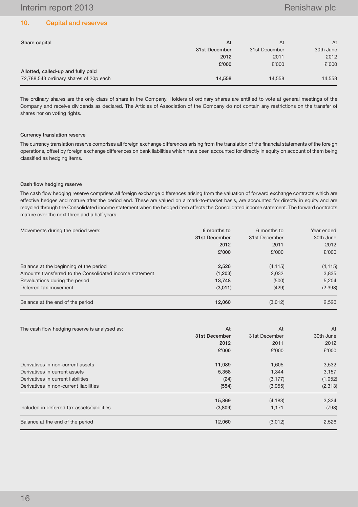## 10. Capital and reserves

| Share capital                          | At            | At            | At        |
|----------------------------------------|---------------|---------------|-----------|
|                                        | 31st December | 31st December | 30th June |
|                                        | 2012          | 2011          | 2012      |
|                                        | £'000         | £'000         | £'000     |
| Allotted, called-up and fully paid     |               |               |           |
| 72,788,543 ordinary shares of 20p each | 14,558        | 14.558        | 14,558    |

The ordinary shares are the only class of share in the Company. Holders of ordinary shares are entitled to vote at general meetings of the Company and receive dividends as declared. The Articles of Association of the Company do not contain any restrictions on the transfer of shares nor on voting rights.

#### Currency translation reserve

The currency translation reserve comprises all foreign exchange differences arising from the translation of the financial statements of the foreign operations, offset by foreign exchange differences on bank liabilities which have been accounted for directly in equity on account of them being classified as hedging items.

#### Cash flow hedging reserve

The cash flow hedging reserve comprises all foreign exchange differences arising from the valuation of forward exchange contracts which are effective hedges and mature after the period end. These are valued on a mark-to-market basis, are accounted for directly in equity and are recycled through the Consolidated income statement when the hedged item affects the Consolidated income statement. The forward contracts mature over the next three and a half years.

| Movements during the period were:                        | 6 months to   | 6 months to   | Year ended |
|----------------------------------------------------------|---------------|---------------|------------|
|                                                          | 31st December | 31st December | 30th June  |
|                                                          | 2012          | 2011          | 2012       |
|                                                          | £'000         | £'000         | £'000      |
| Balance at the beginning of the period                   | 2,526         | (4, 115)      | (4, 115)   |
| Amounts transferred to the Consolidated income statement | (1,203)       | 2,032         | 3,835      |
| Revaluations during the period                           | 13,748        | (500)         | 5,204      |
| Deferred tax movement                                    | (3,011)       | (429)         | (2,398)    |
| Balance at the end of the period                         | 12,060        | (3,012)       | 2,526      |

| The cash flow hedging reserve is analysed as: | At            | At            | At        |
|-----------------------------------------------|---------------|---------------|-----------|
|                                               | 31st December | 31st December | 30th June |
|                                               | 2012          | 2011          | 2012      |
|                                               | £'000         | £'000         | £'000     |
| Derivatives in non-current assets             | 11,089        | 1,605         | 3,532     |
| Derivatives in current assets                 | 5,358         | 1,344         | 3,157     |
| Derivatives in current liabilities            | (24)          | (3, 177)      | (1,052)   |
| Derivatives in non-current liabilities        | (554)         | (3,955)       | (2,313)   |
|                                               | 15,869        | (4, 183)      | 3,324     |
| Included in deferred tax assets/liabilities   | (3,809)       | 1,171         | (798)     |
| Balance at the end of the period              | 12,060        | (3,012)       | 2,526     |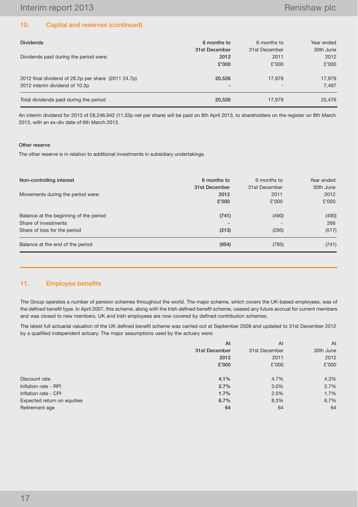### 10. Capital and reserves (continued)

| <b>Dividends</b>                                    | 6 months to   | 6 months to   | Year ended |
|-----------------------------------------------------|---------------|---------------|------------|
|                                                     | 31st December | 31st December | 30th June  |
| Dividends paid during the period were:              | 2012          | 2011          | 2012       |
|                                                     | £'000         | £'000         | £'000      |
|                                                     |               |               |            |
| 2012 final dividend of 28.2p per share (2011 24.7p) | 20.526        | 17.979        | 17,979     |
| 2012 interim dividend of 10.3p                      | -             |               | 7.497      |
| Total dividends paid during the period              | 20.526        | 17.979        | 25,476     |

An interim dividend for 2013 of £8,246,942 (11.33p net per share) will be paid on 8th April 2013, to shareholders on the register on 8th March 2013, with an ex-div date of 6th March 2013.

#### Other reserve

The other reserve is in relation to additional investments in subsidiary undertakings.

| Non-controlling interest               | 6 months to<br>31st December | 6 months to<br>31st December | Year ended<br>30th June |
|----------------------------------------|------------------------------|------------------------------|-------------------------|
| Movements during the period were:      | 2012                         | 2011                         | 2012                    |
|                                        | £'000                        | £'000                        | £'000                   |
| Balance at the beginning of the period | (741)                        | (490)                        | (490)                   |
| Share of investments                   |                              |                              | 266                     |
| Share of loss for the period           | (213)                        | (295)                        | (517)                   |
| Balance at the end of the period       | (954)                        | (785)                        | (741)                   |

### 11. Employee benefits

The Group operates a number of pension schemes throughout the world. The major scheme, which covers the UK-based employees, was of the defined benefit type. In April 2007, this scheme, along with the Irish defined benefit scheme, ceased any future accrual for current members and was closed to new members. UK and Irish employees are now covered by defined contribution schemes.

The latest full actuarial valuation of the UK defined benefit scheme was carried out at September 2009 and updated to 31st December 2012 by a qualified independent actuary. The major assumptions used by the actuary were:

|                             | At            | At            | At        |
|-----------------------------|---------------|---------------|-----------|
|                             | 31st December | 31st December | 30th June |
|                             | 2012          | 2011          | 2012      |
|                             | £'000         | £'000         | £'000     |
|                             |               |               |           |
| Discount rate               | 4.1%          | 4.7%          | 4.3%      |
| Inflation rate - RPI        | 2.7%          | 3.0%          | 2.7%      |
| Inflation rate - CPI        | 1.7%          | 2.0%          | 1.7%      |
| Expected return on equities | 6.7%          | 8.3%          | 6.7%      |
| Retirement age              | 64            | 64            | 64        |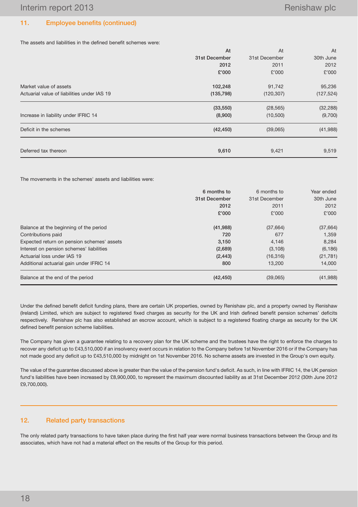## 11. Employee benefits (continued)

The assets and liabilities in the defined benefit schemes were:

|                                             | At            | At            | At         |
|---------------------------------------------|---------------|---------------|------------|
|                                             | 31st December | 31st December | 30th June  |
|                                             | 2012          | 2011          | 2012       |
|                                             | £'000         | £'000         | £'000      |
| Market value of assets                      | 102,248       | 91,742        | 95,236     |
| Actuarial value of liabilities under IAS 19 | (135, 798)    | (120, 307)    | (127, 524) |
|                                             | (33, 550)     | (28, 565)     | (32, 288)  |
| Increase in liability under IFRIC 14        | (8,900)       | (10, 500)     | (9,700)    |
| Deficit in the schemes                      | (42, 450)     | (39,065)      | (41,988)   |
| Deferred tax thereon                        | 9,610         | 9,421         | 9,519      |

The movements in the schemes' assets and liabilities were:

|                                            | 6 months to   | 6 months to   | Year ended |
|--------------------------------------------|---------------|---------------|------------|
|                                            | 31st December | 31st December | 30th June  |
|                                            | 2012          | 2011          | 2012       |
|                                            | £'000         | £'000         | £'000      |
| Balance at the beginning of the period     | (41, 988)     | (37,664)      | (37, 664)  |
| Contributions paid                         | 720           | 677           | 1.359      |
| Expected return on pension schemes' assets | 3,150         | 4,146         | 8.284      |
| Interest on pension schemes' liabilities   | (2,689)       | (3, 108)      | (6, 186)   |
| Actuarial loss under IAS 19                | (2, 443)      | (16, 316)     | (21, 781)  |
| Additional actuarial gain under IFRIC 14   | 800           | 13.200        | 14.000     |
| Balance at the end of the period           | (42, 450)     | (39,065)      | (41,988)   |

Under the defined benefit deficit funding plans, there are certain UK properties, owned by Renishaw plc, and a property owned by Renishaw (Ireland) Limited, which are subject to registered fixed charges as security for the UK and Irish defined benefit pension schemes' deficits respectively. Renishaw plc has also established an escrow account, which is subject to a registered floating charge as security for the UK defined benefit pension scheme liabilities.

The Company has given a guarantee relating to a recovery plan for the UK scheme and the trustees have the right to enforce the charges to recover any deficit up to £43,510,000 if an insolvency event occurs in relation to the Company before 1st November 2016 or if the Company has not made good any deficit up to £43,510,000 by midnight on 1st November 2016. No scheme assets are invested in the Group's own equity.

The value of the guarantee discussed above is greater than the value of the pension fund's deficit. As such, in line with IFRIC 14, the UK pension fund's liabilities have been increased by £8,900,000, to represent the maximum discounted liability as at 31st December 2012 (30th June 2012 £9,700,000).

### 12. Related party transactions

The only related party transactions to have taken place during the first half year were normal business transactions between the Group and its associates, which have not had a material effect on the results of the Group for this period.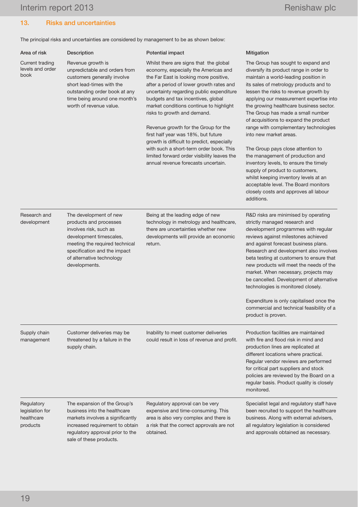# 13. Risks and uncertainties

The principal risks and uncertainties are considered by management to be as shown below:

| Area of risk                                            | Description                                                                                                                                                                                                           | Potential impact                                                                                                                                                                                                                                                                                                                                                                                                                                                                                                                                                                               | Mitigation                                                                                                                                                                                                                                                                                                                                                                                                                                                                                                                                                                                                                                                                                                                                    |
|---------------------------------------------------------|-----------------------------------------------------------------------------------------------------------------------------------------------------------------------------------------------------------------------|------------------------------------------------------------------------------------------------------------------------------------------------------------------------------------------------------------------------------------------------------------------------------------------------------------------------------------------------------------------------------------------------------------------------------------------------------------------------------------------------------------------------------------------------------------------------------------------------|-----------------------------------------------------------------------------------------------------------------------------------------------------------------------------------------------------------------------------------------------------------------------------------------------------------------------------------------------------------------------------------------------------------------------------------------------------------------------------------------------------------------------------------------------------------------------------------------------------------------------------------------------------------------------------------------------------------------------------------------------|
| <b>Current trading</b><br>levels and order<br>book      | Revenue growth is<br>unpredictable and orders from<br>customers generally involve<br>short lead-times with the<br>outstanding order book at any<br>time being around one month's<br>worth of revenue value.           | Whilst there are signs that the global<br>economy, especially the Americas and<br>the Far East is looking more positive,<br>after a period of lower growth rates and<br>uncertainty regarding public expenditure<br>budgets and tax incentives, global<br>market conditions continue to highlight<br>risks to growth and demand.<br>Revenue growth for the Group for the<br>first half year was 18%, but future<br>growth is difficult to predict, especially<br>with such a short-term order book. This<br>limited forward order visibility leaves the<br>annual revenue forecasts uncertain. | The Group has sought to expand and<br>diversify its product range in order to<br>maintain a world-leading position in<br>its sales of metrology products and to<br>lessen the risks to revenue growth by<br>applying our measurement expertise into<br>the growing healthcare business sector.<br>The Group has made a small number<br>of acquisitions to expand the product<br>range with complementary technologies<br>into new market areas.<br>The Group pays close attention to<br>the management of production and<br>inventory levels, to ensure the timely<br>supply of product to customers,<br>whilst keeping inventory levels at an<br>acceptable level. The Board monitors<br>closely costs and approves all labour<br>additions. |
| Research and<br>development                             | The development of new<br>products and processes<br>involves risk, such as<br>development timescales,<br>meeting the required technical<br>specification and the impact<br>of alternative technology<br>developments. | Being at the leading edge of new<br>technology in metrology and healthcare,<br>there are uncertainties whether new<br>developments will provide an economic<br>return.                                                                                                                                                                                                                                                                                                                                                                                                                         | R&D risks are minimised by operating<br>strictly managed research and<br>development programmes with regular<br>reviews against milestones achieved<br>and against forecast business plans.<br>Research and development also involves<br>beta testing at customers to ensure that<br>new products will meet the needs of the<br>market. When necessary, projects may<br>be cancelled. Development of alternative<br>technologies is monitored closely.<br>Expenditure is only capitalised once the<br>commercial and technical feasibility of a<br>product is proven.                                                                                                                                                                         |
| Supply chain<br>management                              | Customer deliveries may be<br>threatened by a failure in the<br>supply chain.                                                                                                                                         | Inability to meet customer deliveries<br>could result in loss of revenue and profit.                                                                                                                                                                                                                                                                                                                                                                                                                                                                                                           | Production facilities are maintained<br>with fire and flood risk in mind and<br>production lines are replicated at<br>different locations where practical.<br>Regular vendor reviews are performed<br>for critical part suppliers and stock<br>policies are reviewed by the Board on a<br>regular basis. Product quality is closely<br>monitored.                                                                                                                                                                                                                                                                                                                                                                                             |
| Regulatory<br>legislation for<br>healthcare<br>products | The expansion of the Group's<br>business into the healthcare<br>markets involves a significantly<br>increased requirement to obtain<br>regulatory approval prior to the<br>sale of these products.                    | Regulatory approval can be very<br>expensive and time-consuming. This<br>area is also very complex and there is<br>a risk that the correct approvals are not<br>obtained.                                                                                                                                                                                                                                                                                                                                                                                                                      | Specialist legal and regulatory staff have<br>been recruited to support the healthcare<br>business. Along with external advisers,<br>all regulatory legislation is considered<br>and approvals obtained as necessary.                                                                                                                                                                                                                                                                                                                                                                                                                                                                                                                         |